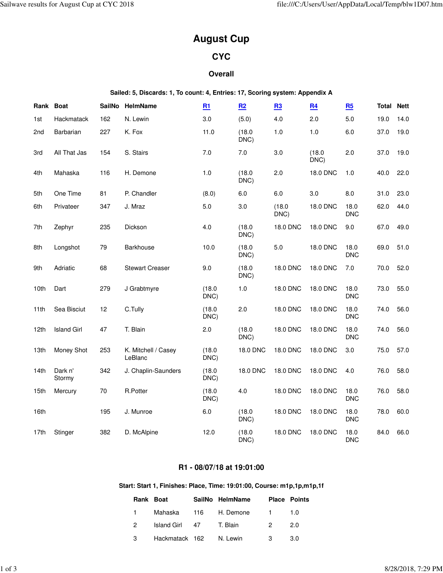# **August Cup**

# **CYC**

# **Overall**

**Sailed: 5, Discards: 1, To count: 4, Entries: 17, Scoring system: Appendix A**

| Rank Boat        |                    | <b>SailNo</b> | HelmName                       | R1             | R2              | B <sub>3</sub>  | R <sub>4</sub> | R5                 | Total | <b>Nett</b> |
|------------------|--------------------|---------------|--------------------------------|----------------|-----------------|-----------------|----------------|--------------------|-------|-------------|
| 1st              | Hackmatack         | 162           | N. Lewin                       | 3.0            | (5.0)           | 4.0             | 2.0            | 5.0                | 19.0  | 14.0        |
| 2nd              | Barbarian          | 227           | K. Fox                         | 11.0           | (18.0)<br>DNC)  | 1.0             | 1.0            | 6.0                | 37.0  | 19.0        |
| 3rd              | All That Jas       | 154           | S. Stairs                      | 7.0            | $7.0$           | 3.0             | (18.0)<br>DNC) | 2.0                | 37.0  | 19.0        |
| 4th              | Mahaska            | 116           | H. Demone                      | 1.0            | (18.0)<br>DNC)  | 2.0             | 18.0 DNC       | 1.0                | 40.0  | 22.0        |
| 5th              | One Time           | 81            | P. Chandler                    | (8.0)          | 6.0             | 6.0             | 3.0            | 8.0                | 31.0  | 23.0        |
| 6th              | Privateer          | 347           | J. Mraz                        | $5.0$          | 3.0             | (18.0)<br>DNC)  | 18.0 DNC       | 18.0<br><b>DNC</b> | 62.0  | 44.0        |
| 7th              | Zephyr             | 235           | Dickson                        | 4.0            | (18.0)<br>DNC)  | <b>18.0 DNC</b> | 18.0 DNC       | 9.0                | 67.0  | 49.0        |
| 8th              | Longshot           | 79            | Barkhouse                      | 10.0           | (18.0)<br>DNC)  | 5.0             | 18.0 DNC       | 18.0<br><b>DNC</b> | 69.0  | 51.0        |
| 9th              | Adriatic           | 68            | <b>Stewart Creaser</b>         | 9.0            | (18.0)<br>DNC)  | 18.0 DNC        | 18.0 DNC       | 7.0                | 70.0  | 52.0        |
| 10th             | Dart               | 279           | J Grabtmyre                    | (18.0)<br>DNC) | 1.0             | 18.0 DNC        | 18.0 DNC       | 18.0<br><b>DNC</b> | 73.0  | 55.0        |
| 11th             | Sea Bisciut        | 12            | C.Tully                        | (18.0)<br>DNC) | 2.0             | 18.0 DNC        | 18.0 DNC       | 18.0<br><b>DNC</b> | 74.0  | 56.0        |
| 12 <sub>th</sub> | <b>Island Girl</b> | 47            | T. Blain                       | 2.0            | (18.0)<br>DNC)  | 18.0 DNC        | 18.0 DNC       | 18.0<br><b>DNC</b> | 74.0  | 56.0        |
| 13th             | Money Shot         | 253           | K. Mitchell / Casey<br>LeBlanc | (18.0)<br>DNC) | <b>18.0 DNC</b> | 18.0 DNC        | 18.0 DNC       | 3.0                | 75.0  | 57.0        |
| 14th             | Dark n'<br>Stormy  | 342           | J. Chaplin-Saunders            | (18.0)<br>DNC) | 18.0 DNC        | 18.0 DNC        | 18.0 DNC       | 4.0                | 76.0  | 58.0        |
| 15th             | Mercury            | 70            | R.Potter                       | (18.0)<br>DNC) | 4.0             | 18.0 DNC        | 18.0 DNC       | 18.0<br><b>DNC</b> | 76.0  | 58.0        |
| 16th             |                    | 195           | J. Munroe                      | 6.0            | (18.0)<br>DNC)  | 18.0 DNC        | 18.0 DNC       | 18.0<br><b>DNC</b> | 78.0  | 60.0        |
| 17th             | Stinger            | 382           | D. McAlpine                    | 12.0           | (18.0)<br>DNC)  | 18.0 DNC        | 18.0 DNC       | 18.0<br><b>DNC</b> | 84.0  | 66.0        |

# **R1 - 08/07/18 at 19:01:00**

# **Start: Start 1, Finishes: Place, Time: 19:01:00, Course: m1p,1p,m1p,1f**

| Rank Boat     |                       | SailNo HelmName |          | <b>Place Points</b> |
|---------------|-----------------------|-----------------|----------|---------------------|
|               | Mahaska 116 H. Demone |                 | $\sim$ 1 | 1.O                 |
| $\mathcal{P}$ | Island Girl 47        | T. Blain        | - 2      | 2.0                 |
| 3             | Hackmatack 162        | N. Lewin        | - 3      | 3.O                 |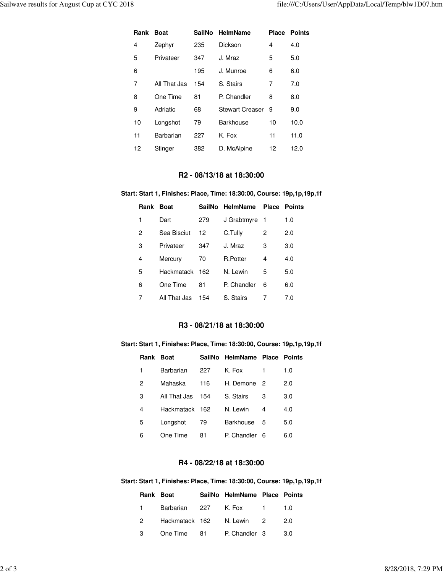| Rank | <b>Boat</b>  | SailNo | <b>HelmName</b>        | Place | <b>Points</b> |
|------|--------------|--------|------------------------|-------|---------------|
| 4    | Zephyr       | 235    | Dickson                | 4     | 4.0           |
| 5    | Privateer    | 347    | J. Mraz                | 5     | 5.0           |
| 6    |              | 195    | J. Munroe              | 6     | 6.0           |
| 7    | All That Jas | 154    | S. Stairs              | 7     | 7.0           |
| 8    | One Time     | 81     | P. Chandler            | 8     | 8.0           |
| 9    | Adriatic     | 68     | <b>Stewart Creaser</b> | 9     | 9.0           |
| 10   | Longshot     | 79     | <b>Barkhouse</b>       | 10    | 10.0          |
| 11   | Barbarian    | 227    | K. Fox                 | 11    | 11.0          |
| 12   | Stinger      | 382    | D. McAlpine            | 12    | 12.0          |

# **R2 - 08/13/18 at 18:30:00**

#### **Start: Start 1, Finishes: Place, Time: 18:30:00, Course: 19p,1p,19p,1f**

| Rank | <b>Boat</b>       |     | SailNo HelmName |    | <b>Place Points</b> |
|------|-------------------|-----|-----------------|----|---------------------|
| 1    | Dart              | 279 | J Grabtmyre     | -1 | 1.0                 |
| 2    | Sea Bisciut       | 12  | C.Tully         | 2  | 2.0                 |
| 3    | Privateer         | 347 | J. Mraz         | 3  | 3.0                 |
| 4    | Mercury           | 70  | R.Potter        | 4  | 4.0                 |
| 5    | <b>Hackmatack</b> | 162 | N. Lewin        | 5  | 5.0                 |
| 6    | One Time          | 81  | P. Chandler     | 6  | 6.0                 |
| 7    | All That Jas      | 154 | S. Stairs       |    | 7.0                 |

#### **R3 - 08/21/18 at 18:30:00**

#### **Start: Start 1, Finishes: Place, Time: 18:30:00, Course: 19p,1p,19p,1f**

| Rank Boat |              |     | SailNo HelmName Place Points |    |     |
|-----------|--------------|-----|------------------------------|----|-----|
| 1         | Barbarian    | 227 | K. Fox                       | 1  | 1.0 |
| 2         | Mahaska      | 116 | H. Demone 2                  |    | 2.0 |
| 3         | All That Jas | 154 | S. Stairs                    | 3  | 3.0 |
| 4         | Hackmatack   | 162 | N. Lewin                     | 4  | 4.0 |
| 5         | Longshot     | 79  | <b>Barkhouse</b>             | 5  | 5.0 |
| 6         | One Time     | 81  | P. Chandler                  | -6 | 6.0 |

# **R4 - 08/22/18 at 18:30:00**

#### **Start: Start 1, Finishes: Place, Time: 18:30:00, Course: 19p,1p,19p,1f**

|                | Rank Boat                     | SailNo HelmName Place Points |     |
|----------------|-------------------------------|------------------------------|-----|
| $1 \quad$      | Barbarian 227 K. Fox 1 1.0    |                              |     |
| $\overline{2}$ | Hackmatack 162 N. Lewin 2     |                              | 2.0 |
| $3^{\circ}$    | One Time 81 P. Chandler 3 3.0 |                              |     |